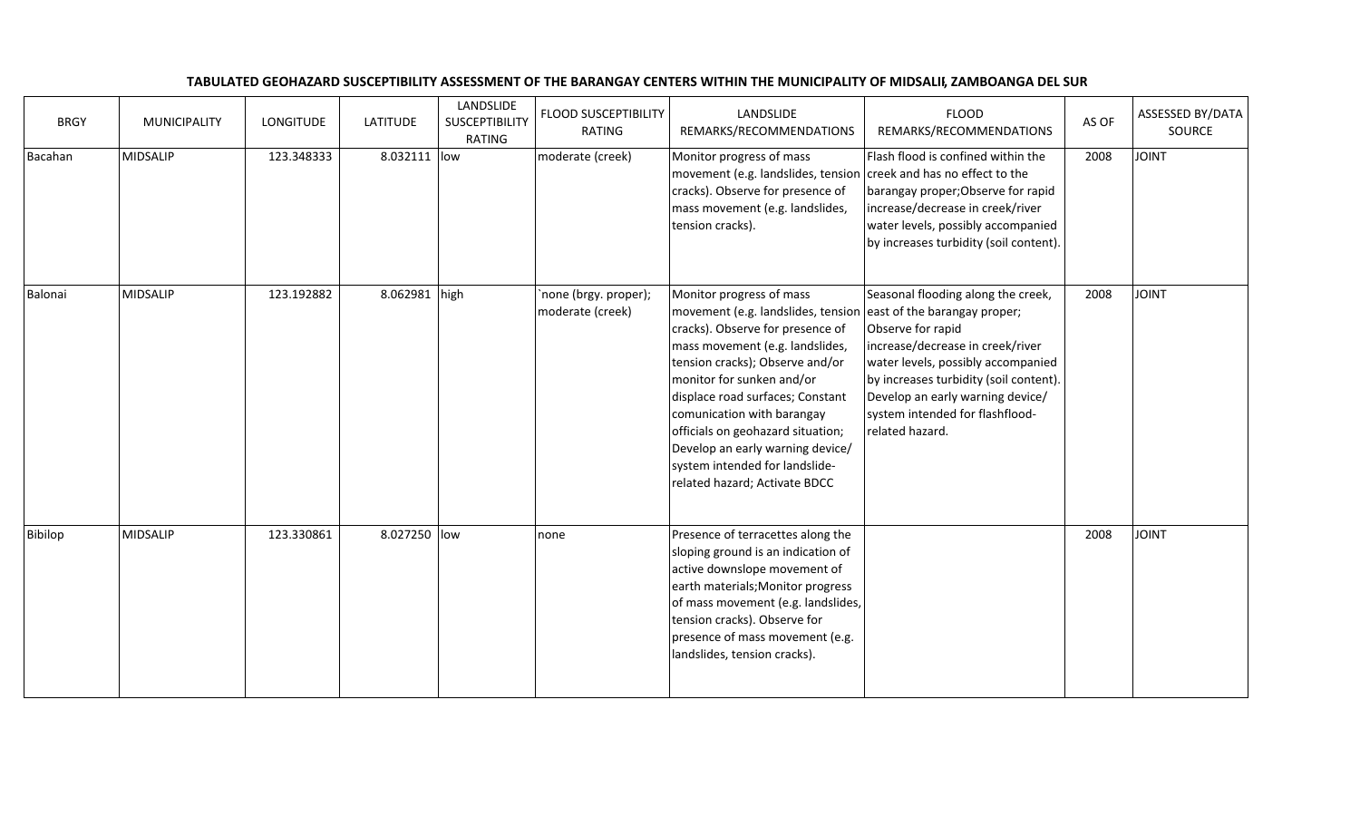| <b>BRGY</b> | <b>MUNICIPALITY</b> | LONGITUDE  | <b>LATITUDE</b> | LANDSLIDE<br><b>SUSCEPTIBILITY</b><br>RATING | <b>FLOOD SUSCEPTIBILITY</b><br><b>RATING</b> | LANDSLIDE<br>REMARKS/RECOMMENDATIONS                                                                                                                                                                                                                                                                                                                                                                                                             | <b>FLOOD</b><br>REMARKS/RECOMMENDATIONS                                                                                                                                                                                                                               | AS OF | ASSESSED BY/DATA<br>SOURCE |
|-------------|---------------------|------------|-----------------|----------------------------------------------|----------------------------------------------|--------------------------------------------------------------------------------------------------------------------------------------------------------------------------------------------------------------------------------------------------------------------------------------------------------------------------------------------------------------------------------------------------------------------------------------------------|-----------------------------------------------------------------------------------------------------------------------------------------------------------------------------------------------------------------------------------------------------------------------|-------|----------------------------|
| Bacahan     | <b>MIDSALIP</b>     | 123.348333 | 8.032111 low    |                                              | moderate (creek)                             | Monitor progress of mass<br>movement (e.g. landslides, tension creek and has no effect to the<br>cracks). Observe for presence of<br>mass movement (e.g. landslides,<br>tension cracks).                                                                                                                                                                                                                                                         | Flash flood is confined within the<br>barangay proper; Observe for rapid<br>increase/decrease in creek/river<br>water levels, possibly accompanied<br>by increases turbidity (soil content).                                                                          | 2008  | <b>JOINT</b>               |
| Balonai     | MIDSALIP            | 123.192882 | 8.062981 high   |                                              | `none (brgy. proper);<br>moderate (creek)    | Monitor progress of mass<br>movement (e.g. landslides, tension east of the barangay proper;<br>cracks). Observe for presence of<br>mass movement (e.g. landslides,<br>tension cracks); Observe and/or<br>monitor for sunken and/or<br>displace road surfaces; Constant<br>comunication with barangay<br>officials on geohazard situation;<br>Develop an early warning device/<br>system intended for landslide-<br>related hazard; Activate BDCC | Seasonal flooding along the creek,<br>Observe for rapid<br>increase/decrease in creek/river<br>water levels, possibly accompanied<br>by increases turbidity (soil content).<br>Develop an early warning device/<br>system intended for flashflood-<br>related hazard. | 2008  | <b>JOINT</b>               |
| Bibilop     | <b>MIDSALIP</b>     | 123.330861 | 8.027250 low    |                                              | none                                         | Presence of terracettes along the<br>sloping ground is an indication of<br>active downslope movement of<br>earth materials; Monitor progress<br>of mass movement (e.g. landslides,<br>tension cracks). Observe for<br>presence of mass movement (e.g.<br>landslides, tension cracks).                                                                                                                                                            |                                                                                                                                                                                                                                                                       | 2008  | <b>JOINT</b>               |

## TABULATED GEOHAZARD SUSCEPTIBILITY ASSESSMENT OF THE BARANGAY CENTERS WITHIN THE MUNICIPALITY OF MIDSALIP, ZAMBOANGA DEL SUR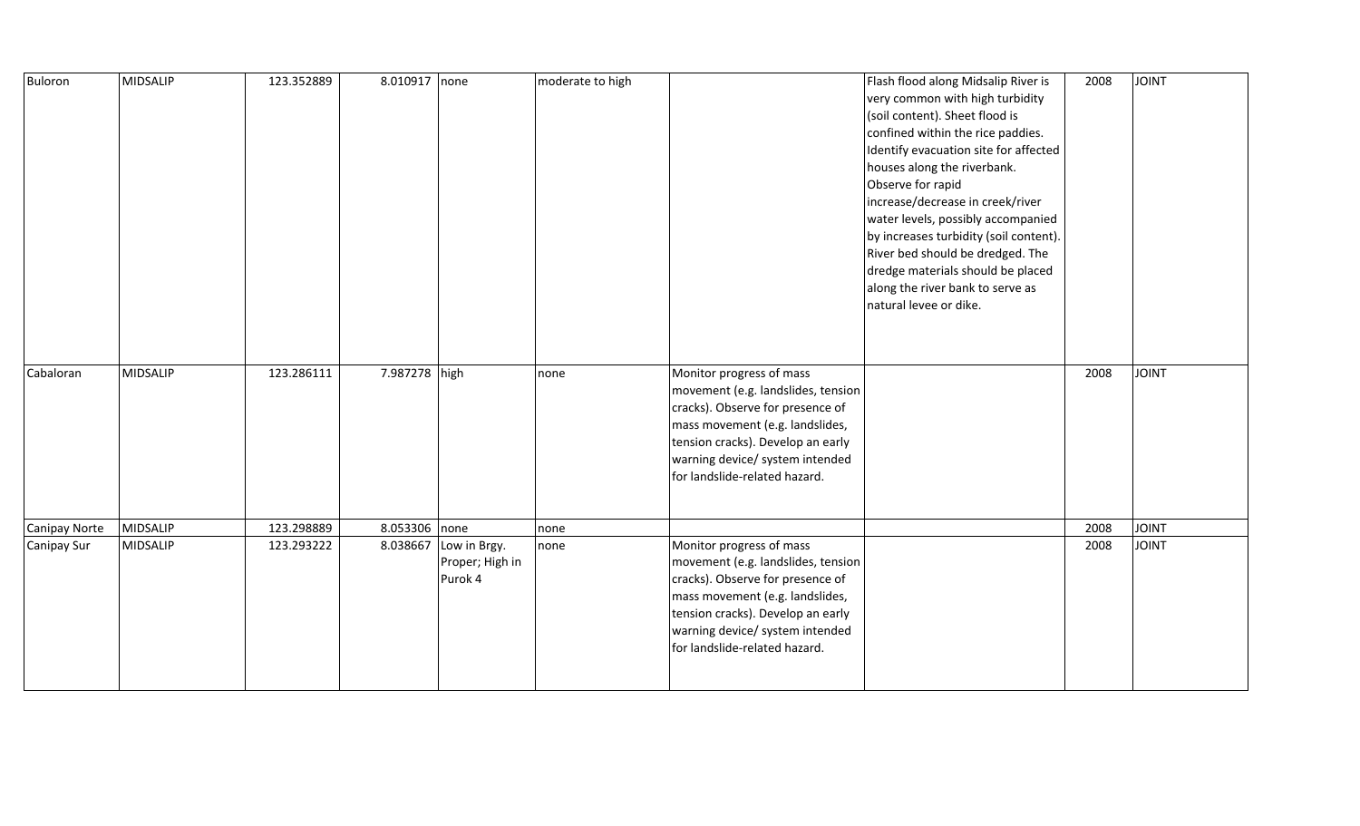| Buloron       | MIDSALIP        | 123.352889 | 8.010917 none |                                                     | moderate to high |                                                                                                                                                                                                                                                | Flash flood along Midsalip River is<br>very common with high turbidity<br>(soil content). Sheet flood is<br>confined within the rice paddies.<br>Identify evacuation site for affected<br>houses along the riverbank.<br>Observe for rapid<br>increase/decrease in creek/river<br>water levels, possibly accompanied<br>by increases turbidity (soil content).<br>River bed should be dredged. The<br>dredge materials should be placed<br>along the river bank to serve as<br>natural levee or dike. | 2008 | <b>JOINT</b> |
|---------------|-----------------|------------|---------------|-----------------------------------------------------|------------------|------------------------------------------------------------------------------------------------------------------------------------------------------------------------------------------------------------------------------------------------|-------------------------------------------------------------------------------------------------------------------------------------------------------------------------------------------------------------------------------------------------------------------------------------------------------------------------------------------------------------------------------------------------------------------------------------------------------------------------------------------------------|------|--------------|
| Cabaloran     | <b>MIDSALIP</b> | 123.286111 | 7.987278 high |                                                     | none             | Monitor progress of mass<br>movement (e.g. landslides, tension<br>cracks). Observe for presence of<br>mass movement (e.g. landslides,<br>tension cracks). Develop an early<br>warning device/ system intended<br>for landslide-related hazard. |                                                                                                                                                                                                                                                                                                                                                                                                                                                                                                       | 2008 | <b>JOINT</b> |
| Canipay Norte | <b>MIDSALIP</b> | 123.298889 | 8.053306 none |                                                     | none             |                                                                                                                                                                                                                                                |                                                                                                                                                                                                                                                                                                                                                                                                                                                                                                       | 2008 | <b>JOINT</b> |
| Canipay Sur   | MIDSALIP        | 123.293222 |               | 8.038667 Low in Brgy.<br>Proper; High in<br>Purok 4 | none             | Monitor progress of mass<br>movement (e.g. landslides, tension<br>cracks). Observe for presence of<br>mass movement (e.g. landslides,<br>tension cracks). Develop an early<br>warning device/ system intended<br>for landslide-related hazard. |                                                                                                                                                                                                                                                                                                                                                                                                                                                                                                       | 2008 | <b>JOINT</b> |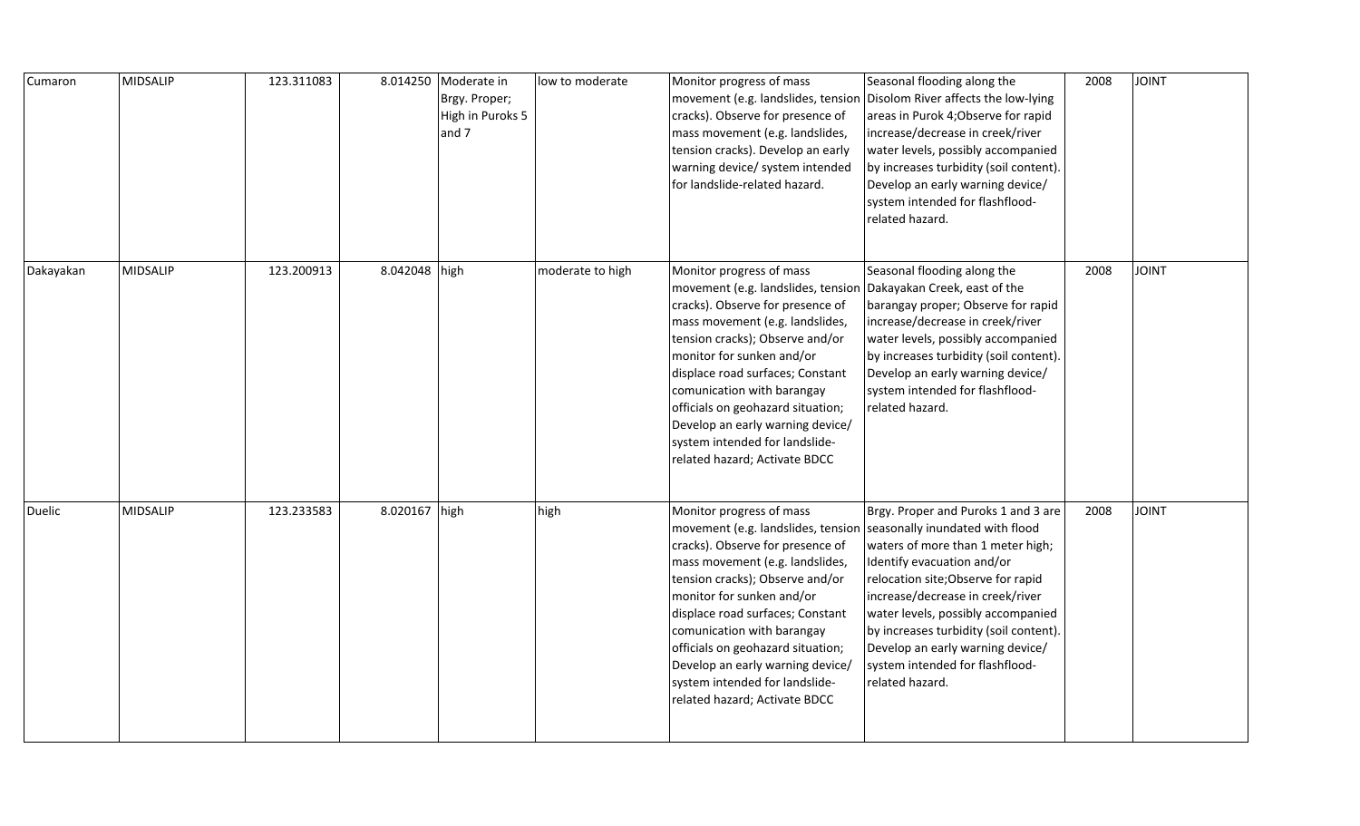| Cumaron   | MIDSALIP        | 123.311083 |               | 8.014250 Moderate in<br>Brgy. Proper;<br>High in Puroks 5<br>and 7 | low to moderate  | Monitor progress of mass<br>cracks). Observe for presence of<br>mass movement (e.g. landslides,<br>tension cracks). Develop an early<br>warning device/ system intended<br>for landslide-related hazard.                                                                                                                                                                                                                                         | Seasonal flooding along the<br>movement (e.g. landslides, tension   Disolom River affects the low-lying<br>areas in Purok 4; Observe for rapid<br>increase/decrease in creek/river<br>water levels, possibly accompanied<br>by increases turbidity (soil content).<br>Develop an early warning device/<br>system intended for flashflood-<br>related hazard.                                  | 2008 | JOINT        |
|-----------|-----------------|------------|---------------|--------------------------------------------------------------------|------------------|--------------------------------------------------------------------------------------------------------------------------------------------------------------------------------------------------------------------------------------------------------------------------------------------------------------------------------------------------------------------------------------------------------------------------------------------------|-----------------------------------------------------------------------------------------------------------------------------------------------------------------------------------------------------------------------------------------------------------------------------------------------------------------------------------------------------------------------------------------------|------|--------------|
| Dakayakan | MIDSALIP        | 123.200913 | 8.042048 high |                                                                    | moderate to high | Monitor progress of mass<br>movement (e.g. landslides, tension Dakayakan Creek, east of the<br>cracks). Observe for presence of<br>mass movement (e.g. landslides,<br>tension cracks); Observe and/or<br>monitor for sunken and/or<br>displace road surfaces; Constant<br>comunication with barangay<br>officials on geohazard situation;<br>Develop an early warning device/<br>system intended for landslide-<br>related hazard; Activate BDCC | Seasonal flooding along the<br>barangay proper; Observe for rapid<br>increase/decrease in creek/river<br>water levels, possibly accompanied<br>by increases turbidity (soil content).<br>Develop an early warning device/<br>system intended for flashflood-<br>related hazard.                                                                                                               | 2008 | <b>JOINT</b> |
| Duelic    | <b>MIDSALIP</b> | 123.233583 | 8.020167 high |                                                                    | high             | Monitor progress of mass<br>movement (e.g. landslides, tension<br>cracks). Observe for presence of<br>mass movement (e.g. landslides,<br>tension cracks); Observe and/or<br>monitor for sunken and/or<br>displace road surfaces; Constant<br>comunication with barangay<br>officials on geohazard situation;<br>Develop an early warning device/<br>system intended for landslide-<br>related hazard; Activate BDCC                              | Brgy. Proper and Puroks 1 and 3 are<br>seasonally inundated with flood<br>waters of more than 1 meter high;<br>Identify evacuation and/or<br>relocation site; Observe for rapid<br>increase/decrease in creek/river<br>water levels, possibly accompanied<br>by increases turbidity (soil content).<br>Develop an early warning device/<br>system intended for flashflood-<br>related hazard. | 2008 | <b>JOINT</b> |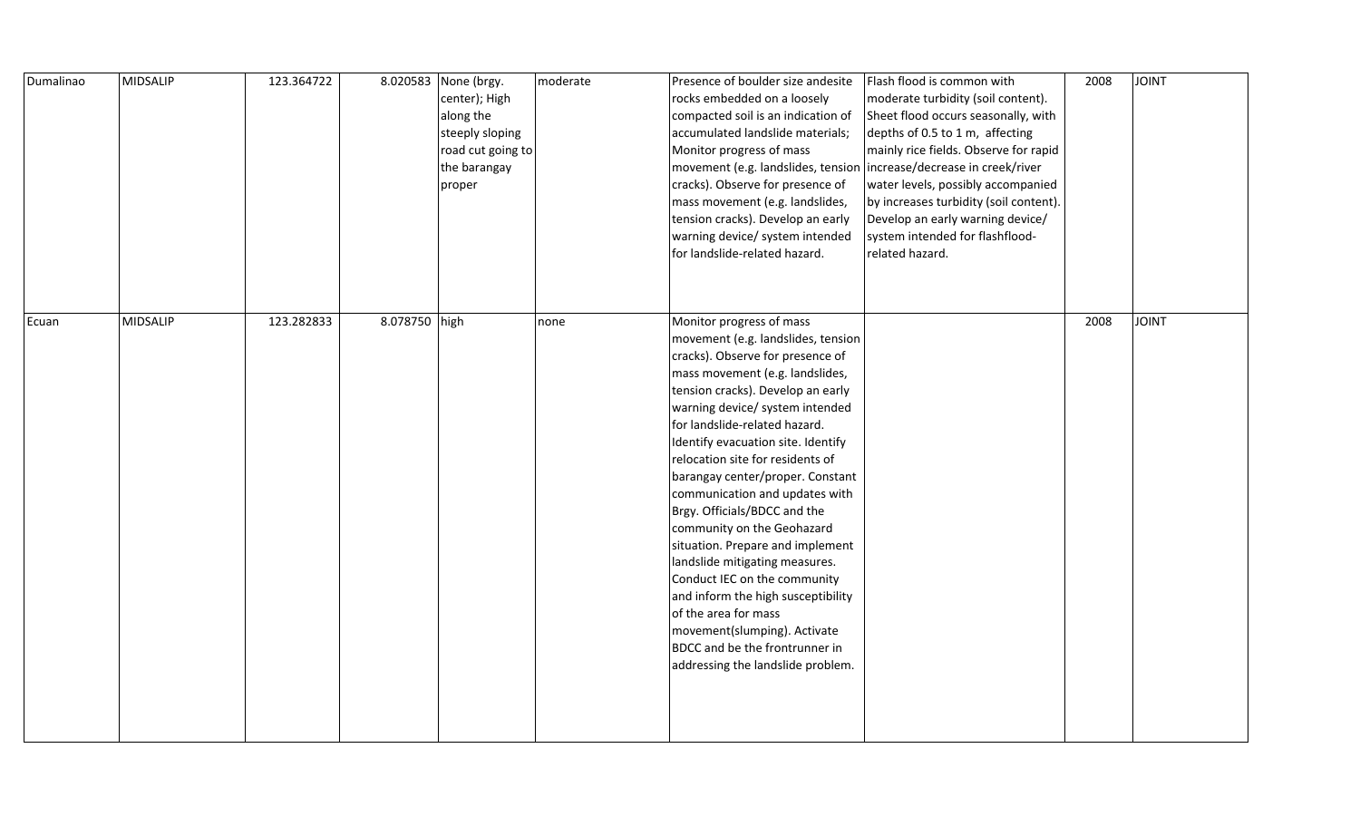| Dumalinao | <b>MIDSALIP</b> | 123.364722 |               | 8.020583 None (brgy.<br>center); High<br>along the<br>steeply sloping<br>road cut going to<br>the barangay<br>proper | moderate | Presence of boulder size andesite<br>rocks embedded on a loosely<br>compacted soil is an indication of<br>accumulated landslide materials;<br>Monitor progress of mass<br>movement (e.g. landslides, tension increase/decrease in creek/river<br>cracks). Observe for presence of<br>mass movement (e.g. landslides,<br>tension cracks). Develop an early<br>warning device/ system intended<br>for landslide-related hazard.                                                                                                                                                                                                                                                                                                           | Flash flood is common with<br>moderate turbidity (soil content).<br>Sheet flood occurs seasonally, with<br>depths of 0.5 to 1 m, affecting<br>mainly rice fields. Observe for rapid<br>water levels, possibly accompanied<br>by increases turbidity (soil content).<br>Develop an early warning device/<br>system intended for flashflood-<br>related hazard. | 2008 | <b>TVIOL</b> |
|-----------|-----------------|------------|---------------|----------------------------------------------------------------------------------------------------------------------|----------|-----------------------------------------------------------------------------------------------------------------------------------------------------------------------------------------------------------------------------------------------------------------------------------------------------------------------------------------------------------------------------------------------------------------------------------------------------------------------------------------------------------------------------------------------------------------------------------------------------------------------------------------------------------------------------------------------------------------------------------------|---------------------------------------------------------------------------------------------------------------------------------------------------------------------------------------------------------------------------------------------------------------------------------------------------------------------------------------------------------------|------|--------------|
| Ecuan     | MIDSALIP        | 123.282833 | 8.078750 high |                                                                                                                      | none     | Monitor progress of mass<br>movement (e.g. landslides, tension<br>cracks). Observe for presence of<br>mass movement (e.g. landslides,<br>tension cracks). Develop an early<br>warning device/ system intended<br>for landslide-related hazard.<br>Identify evacuation site. Identify<br>relocation site for residents of<br>barangay center/proper. Constant<br>communication and updates with<br>Brgy. Officials/BDCC and the<br>community on the Geohazard<br>situation. Prepare and implement<br>landslide mitigating measures.<br>Conduct IEC on the community<br>and inform the high susceptibility<br>of the area for mass<br>movement(slumping). Activate<br>BDCC and be the frontrunner in<br>addressing the landslide problem. |                                                                                                                                                                                                                                                                                                                                                               | 2008 | <b>JOINT</b> |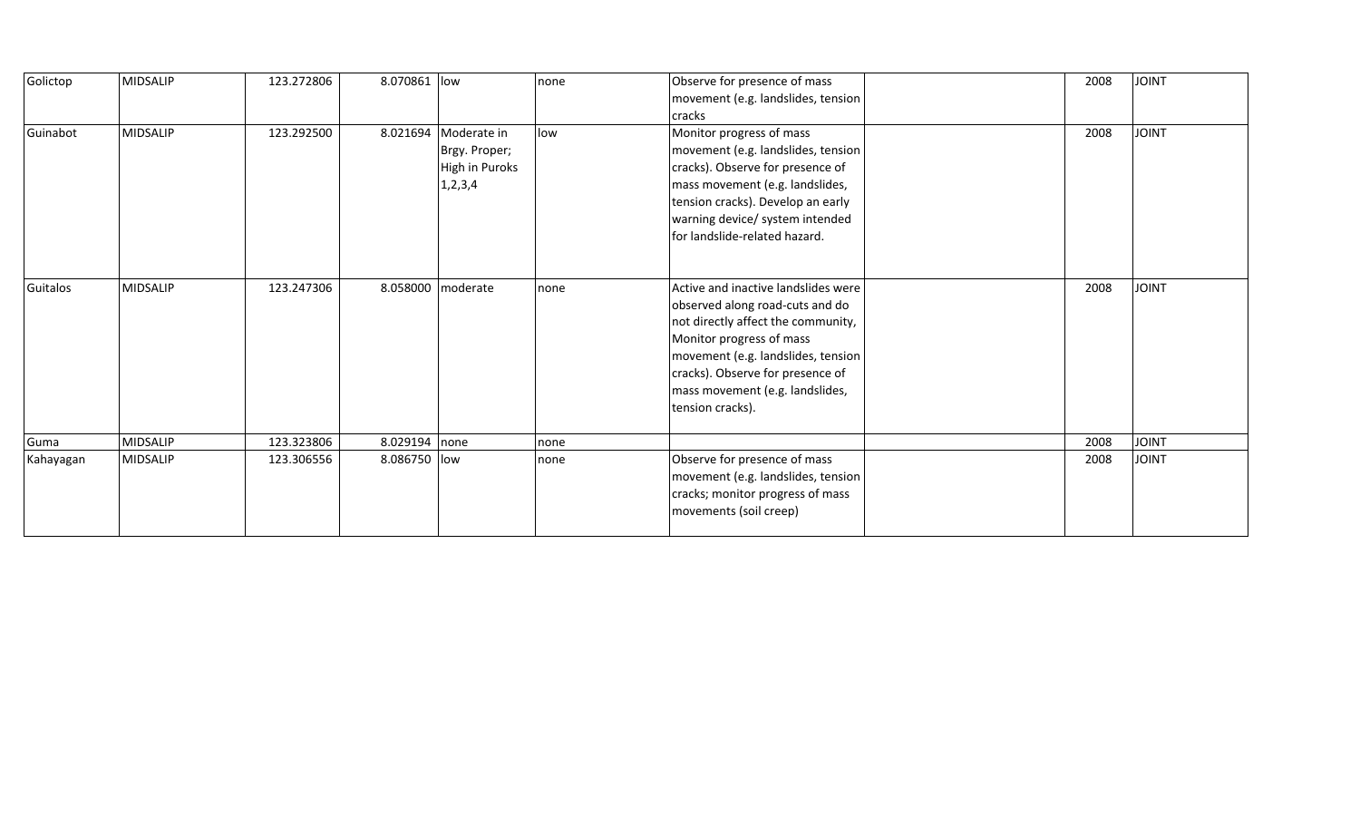| Golictop  | <b>MIDSALIP</b> | 123.272806 | 8.070861 low  |                      | none | Observe for presence of mass        | 2008 | <b>TINIOL</b> |
|-----------|-----------------|------------|---------------|----------------------|------|-------------------------------------|------|---------------|
|           |                 |            |               |                      |      | movement (e.g. landslides, tension  |      |               |
|           |                 |            |               |                      |      | cracks                              |      |               |
| Guinabot  | <b>MIDSALIP</b> | 123.292500 |               | 8.021694 Moderate in | low  | Monitor progress of mass            | 2008 | <b>JOINT</b>  |
|           |                 |            |               | Brgy. Proper;        |      | movement (e.g. landslides, tension  |      |               |
|           |                 |            |               | High in Puroks       |      | cracks). Observe for presence of    |      |               |
|           |                 |            |               | 1, 2, 3, 4           |      | mass movement (e.g. landslides,     |      |               |
|           |                 |            |               |                      |      | tension cracks). Develop an early   |      |               |
|           |                 |            |               |                      |      | warning device/ system intended     |      |               |
|           |                 |            |               |                      |      | for landslide-related hazard.       |      |               |
|           |                 |            |               |                      |      |                                     |      |               |
|           |                 |            |               |                      |      |                                     |      |               |
| Guitalos  | <b>MIDSALIP</b> | 123.247306 |               | 8.058000 moderate    | none | Active and inactive landslides were | 2008 | <b>JOINT</b>  |
|           |                 |            |               |                      |      | observed along road-cuts and do     |      |               |
|           |                 |            |               |                      |      | not directly affect the community,  |      |               |
|           |                 |            |               |                      |      | Monitor progress of mass            |      |               |
|           |                 |            |               |                      |      | movement (e.g. landslides, tension  |      |               |
|           |                 |            |               |                      |      | cracks). Observe for presence of    |      |               |
|           |                 |            |               |                      |      | mass movement (e.g. landslides,     |      |               |
|           |                 |            |               |                      |      | tension cracks).                    |      |               |
|           |                 |            |               |                      |      |                                     |      |               |
| Guma      | <b>MIDSALIP</b> | 123.323806 | 8.029194 none |                      | none |                                     | 2008 | <b>TVIOL</b>  |
| Kahayagan | <b>MIDSALIP</b> | 123.306556 | 8.086750 low  |                      | none | Observe for presence of mass        | 2008 | <b>TINIOL</b> |
|           |                 |            |               |                      |      | movement (e.g. landslides, tension  |      |               |
|           |                 |            |               |                      |      | cracks; monitor progress of mass    |      |               |
|           |                 |            |               |                      |      | movements (soil creep)              |      |               |
|           |                 |            |               |                      |      |                                     |      |               |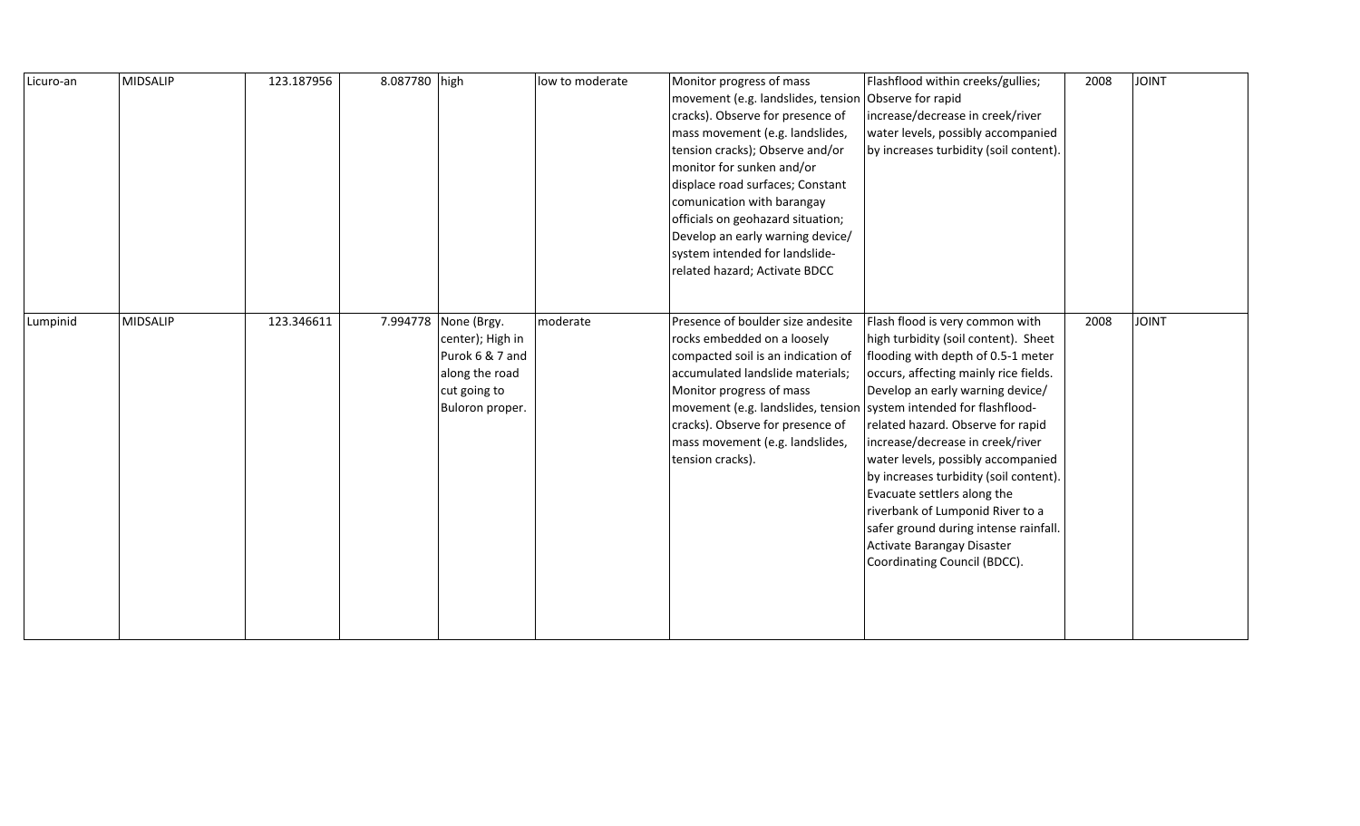| Licuro-an | <b>MIDSALIP</b> | 123.187956 | 8.087780 high |                                                                                                         | low to moderate | Monitor progress of mass<br>movement (e.g. landslides, tension<br>cracks). Observe for presence of<br>mass movement (e.g. landslides,<br>tension cracks); Observe and/or<br>monitor for sunken and/or<br>displace road surfaces; Constant<br>comunication with barangay<br>officials on geohazard situation;<br>Develop an early warning device/<br>system intended for landslide-<br>related hazard; Activate BDCC | Flashflood within creeks/gullies;<br>Observe for rapid<br>increase/decrease in creek/river<br>water levels, possibly accompanied<br>by increases turbidity (soil content).                                                                                                                                                                                                                                                                                                                                                    | 2008 | <b>JOINT</b> |
|-----------|-----------------|------------|---------------|---------------------------------------------------------------------------------------------------------|-----------------|---------------------------------------------------------------------------------------------------------------------------------------------------------------------------------------------------------------------------------------------------------------------------------------------------------------------------------------------------------------------------------------------------------------------|-------------------------------------------------------------------------------------------------------------------------------------------------------------------------------------------------------------------------------------------------------------------------------------------------------------------------------------------------------------------------------------------------------------------------------------------------------------------------------------------------------------------------------|------|--------------|
| Lumpinid  | <b>MIDSALIP</b> | 123.346611 | 7.994778      | None (Brgy.<br>center); High in<br>Purok 6 & 7 and<br>along the road<br>cut going to<br>Buloron proper. | moderate        | Presence of boulder size andesite<br>rocks embedded on a loosely<br>compacted soil is an indication of<br>accumulated landslide materials;<br>Monitor progress of mass<br>movement (e.g. landslides, tension system intended for flashflood-<br>cracks). Observe for presence of<br>mass movement (e.g. landslides,<br>tension cracks).                                                                             | Flash flood is very common with<br>high turbidity (soil content). Sheet<br>flooding with depth of 0.5-1 meter<br>occurs, affecting mainly rice fields.<br>Develop an early warning device/<br>related hazard. Observe for rapid<br>increase/decrease in creek/river<br>water levels, possibly accompanied<br>by increases turbidity (soil content).<br>Evacuate settlers along the<br>riverbank of Lumponid River to a<br>safer ground during intense rainfall.<br>Activate Barangay Disaster<br>Coordinating Council (BDCC). | 2008 | <b>JOINT</b> |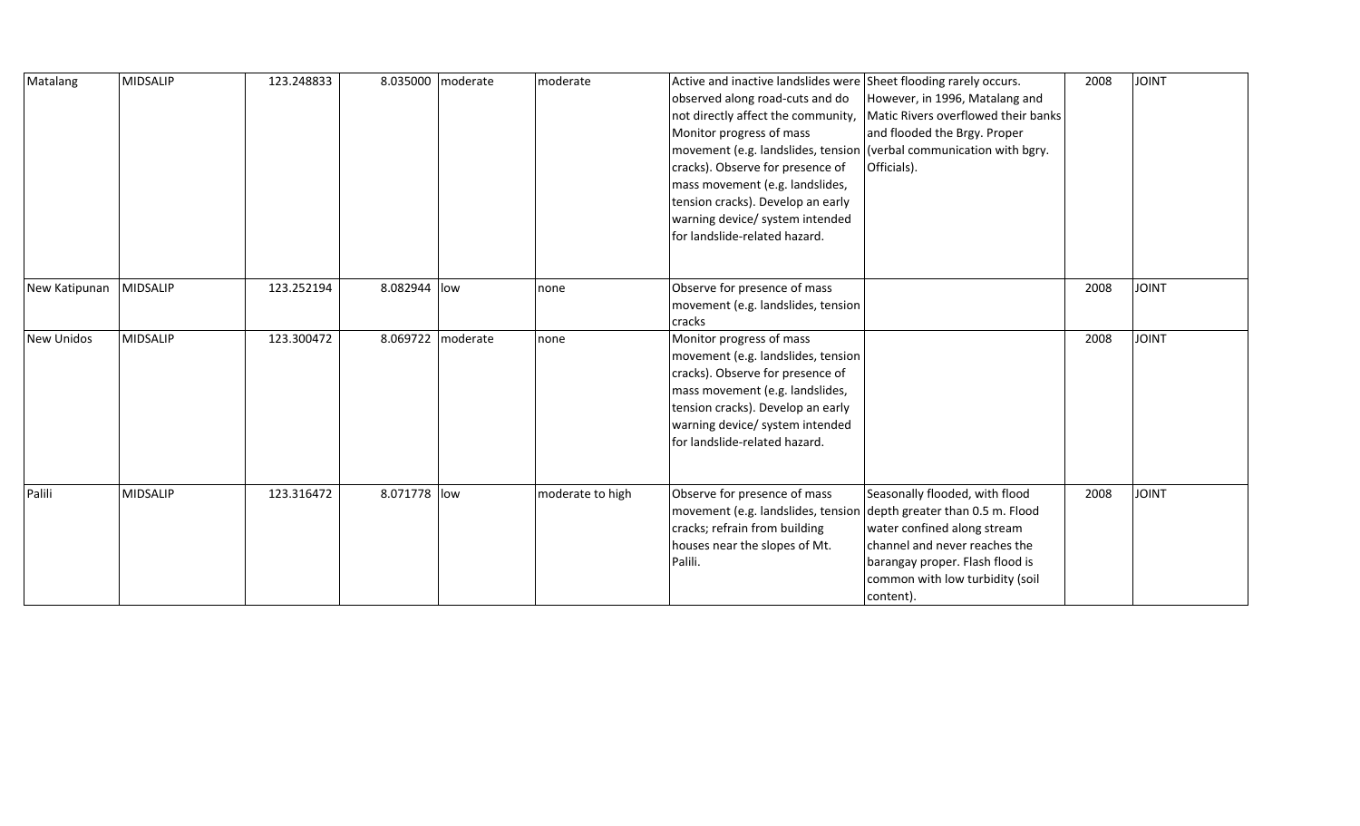| Matalang          | MIDSALIP        | 123.248833 | 8.035000     | moderate | moderate         | Active and inactive landslides were Sheet flooding rarely occurs.<br>observed along road-cuts and do<br>not directly affect the community,<br>Monitor progress of mass<br>cracks). Observe for presence of<br>mass movement (e.g. landslides,<br>tension cracks). Develop an early<br>warning device/ system intended<br>for landslide-related hazard. | However, in 1996, Matalang and<br>Matic Rivers overflowed their banks<br>and flooded the Brgy. Proper<br>movement (e.g. landslides, tension (verbal communication with bgry.<br>Officials). | 2008 | <b>JOINT</b>  |
|-------------------|-----------------|------------|--------------|----------|------------------|--------------------------------------------------------------------------------------------------------------------------------------------------------------------------------------------------------------------------------------------------------------------------------------------------------------------------------------------------------|---------------------------------------------------------------------------------------------------------------------------------------------------------------------------------------------|------|---------------|
| New Katipunan     | <b>MIDSALIP</b> | 123.252194 | 8.082944     | low      | none             | Observe for presence of mass<br>movement (e.g. landslides, tension<br>cracks                                                                                                                                                                                                                                                                           |                                                                                                                                                                                             | 2008 | <b>TINIOL</b> |
| <b>New Unidos</b> | <b>MIDSALIP</b> | 123.300472 | 8.069722     | moderate | none             | Monitor progress of mass<br>movement (e.g. landslides, tension<br>cracks). Observe for presence of<br>mass movement (e.g. landslides,<br>tension cracks). Develop an early<br>warning device/ system intended<br>for landslide-related hazard.                                                                                                         |                                                                                                                                                                                             | 2008 | <b>JOINT</b>  |
| Palili            | <b>MIDSALIP</b> | 123.316472 | 8.071778 low |          | moderate to high | Observe for presence of mass<br>movement (e.g. landslides, tension depth greater than 0.5 m. Flood<br>cracks; refrain from building<br>houses near the slopes of Mt.<br>Palili.                                                                                                                                                                        | Seasonally flooded, with flood<br>water confined along stream<br>channel and never reaches the<br>barangay proper. Flash flood is<br>common with low turbidity (soil<br>content).           | 2008 | <b>TINIOL</b> |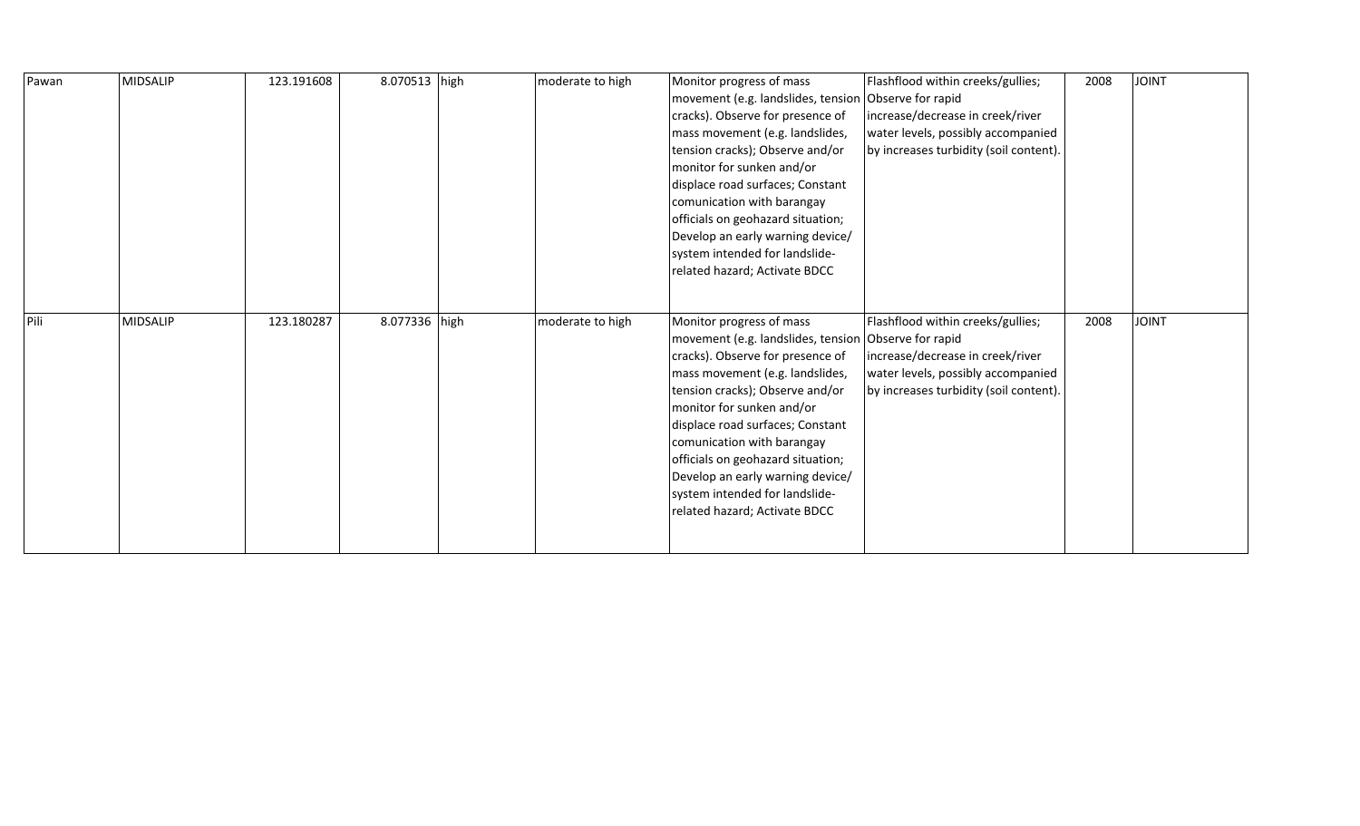| Pawan | <b>MIDSALIP</b> | 123.191608 | 8.070513 high | moderate to high | Monitor progress of mass<br>movement (e.g. landslides, tension<br>cracks). Observe for presence of<br>mass movement (e.g. landslides,<br>tension cracks); Observe and/or<br>monitor for sunken and/or<br>displace road surfaces; Constant<br>comunication with barangay<br>officials on geohazard situation;<br>Develop an early warning device/<br>system intended for landslide-<br>related hazard; Activate BDCC | Flashflood within creeks/gullies;<br>Observe for rapid<br>increase/decrease in creek/river<br>water levels, possibly accompanied<br>by increases turbidity (soil content). | 2008 | <b>JOINT</b> |
|-------|-----------------|------------|---------------|------------------|---------------------------------------------------------------------------------------------------------------------------------------------------------------------------------------------------------------------------------------------------------------------------------------------------------------------------------------------------------------------------------------------------------------------|----------------------------------------------------------------------------------------------------------------------------------------------------------------------------|------|--------------|
| Pili  | <b>MIDSALIP</b> | 123.180287 | 8.077336 high | moderate to high | Monitor progress of mass<br>movement (e.g. landslides, tension<br>cracks). Observe for presence of<br>mass movement (e.g. landslides,<br>tension cracks); Observe and/or<br>monitor for sunken and/or<br>displace road surfaces; Constant<br>comunication with barangay<br>officials on geohazard situation;<br>Develop an early warning device/<br>system intended for landslide-<br>related hazard; Activate BDCC | Flashflood within creeks/gullies;<br>Observe for rapid<br>increase/decrease in creek/river<br>water levels, possibly accompanied<br>by increases turbidity (soil content). | 2008 | <b>JOINT</b> |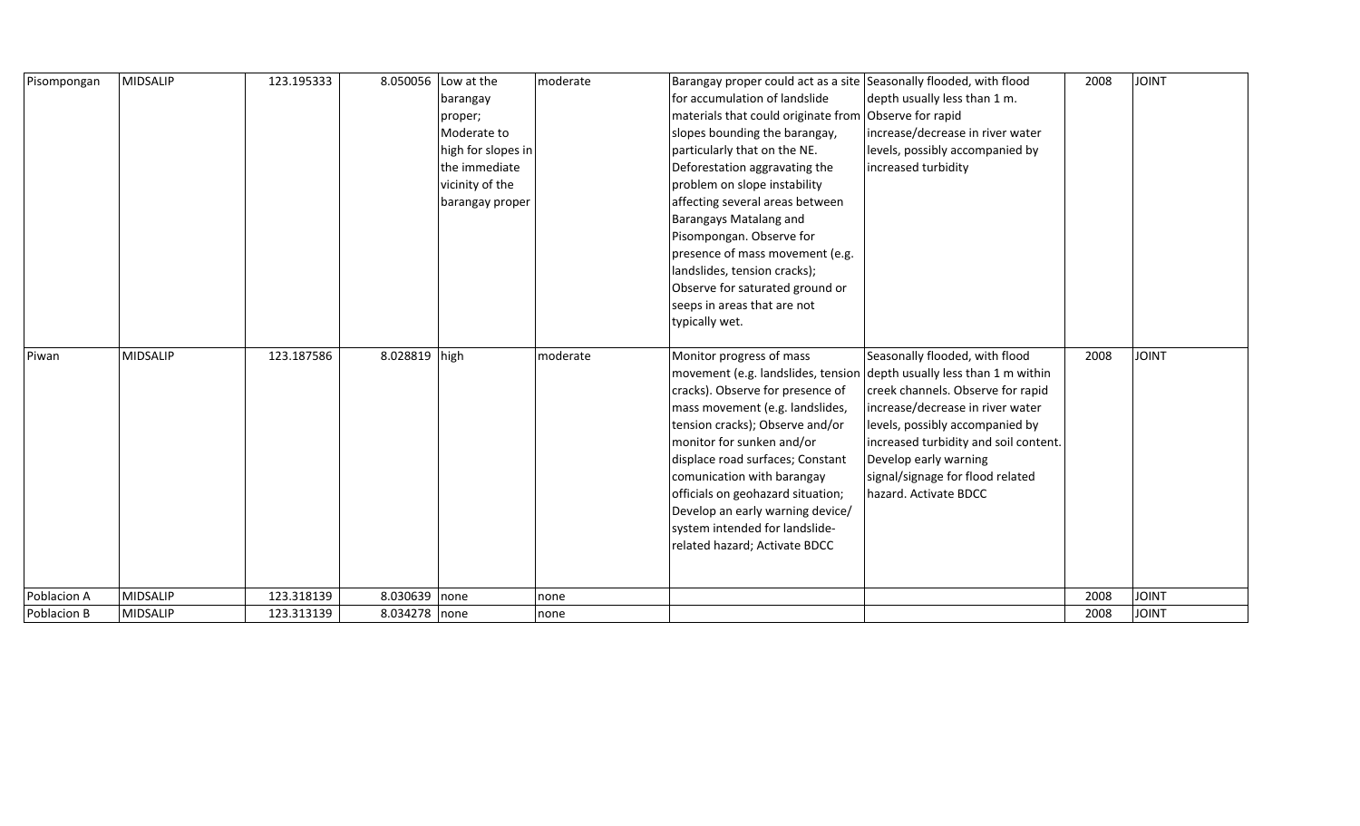| Pisompongan | MIDSALIP        | 123.195333 | 8.050056      | Low at the         | moderate | Barangay proper could act as a site Seasonally flooded, with flood    |                                       | 2008 | JOINT        |
|-------------|-----------------|------------|---------------|--------------------|----------|-----------------------------------------------------------------------|---------------------------------------|------|--------------|
|             |                 |            |               | barangay           |          | for accumulation of landslide                                         | depth usually less than 1 m.          |      |              |
|             |                 |            |               | proper;            |          | materials that could originate from Observe for rapid                 |                                       |      |              |
|             |                 |            |               | Moderate to        |          | slopes bounding the barangay,                                         | increase/decrease in river water      |      |              |
|             |                 |            |               | high for slopes in |          | particularly that on the NE.                                          | levels, possibly accompanied by       |      |              |
|             |                 |            |               | the immediate      |          | Deforestation aggravating the                                         | increased turbidity                   |      |              |
|             |                 |            |               | vicinity of the    |          | problem on slope instability                                          |                                       |      |              |
|             |                 |            |               | barangay proper    |          | affecting several areas between                                       |                                       |      |              |
|             |                 |            |               |                    |          | <b>Barangays Matalang and</b>                                         |                                       |      |              |
|             |                 |            |               |                    |          | Pisompongan. Observe for                                              |                                       |      |              |
|             |                 |            |               |                    |          | presence of mass movement (e.g.                                       |                                       |      |              |
|             |                 |            |               |                    |          | landslides, tension cracks);                                          |                                       |      |              |
|             |                 |            |               |                    |          | Observe for saturated ground or                                       |                                       |      |              |
|             |                 |            |               |                    |          | seeps in areas that are not                                           |                                       |      |              |
|             |                 |            |               |                    |          | typically wet.                                                        |                                       |      |              |
|             |                 |            |               |                    |          |                                                                       |                                       |      |              |
| Piwan       | <b>MIDSALIP</b> | 123.187586 | 8.028819 high |                    | moderate | Monitor progress of mass                                              | Seasonally flooded, with flood        | 2008 | <b>JOINT</b> |
|             |                 |            |               |                    |          | movement (e.g. landslides, tension depth usually less than 1 m within |                                       |      |              |
|             |                 |            |               |                    |          | cracks). Observe for presence of                                      | creek channels. Observe for rapid     |      |              |
|             |                 |            |               |                    |          | mass movement (e.g. landslides,                                       | increase/decrease in river water      |      |              |
|             |                 |            |               |                    |          | tension cracks); Observe and/or                                       | levels, possibly accompanied by       |      |              |
|             |                 |            |               |                    |          | monitor for sunken and/or                                             | increased turbidity and soil content. |      |              |
|             |                 |            |               |                    |          | displace road surfaces; Constant                                      | Develop early warning                 |      |              |
|             |                 |            |               |                    |          | comunication with barangay                                            | signal/signage for flood related      |      |              |
|             |                 |            |               |                    |          | officials on geohazard situation;                                     | hazard. Activate BDCC                 |      |              |
|             |                 |            |               |                    |          | Develop an early warning device/                                      |                                       |      |              |
|             |                 |            |               |                    |          | system intended for landslide-                                        |                                       |      |              |
|             |                 |            |               |                    |          | related hazard; Activate BDCC                                         |                                       |      |              |
|             |                 |            |               |                    |          |                                                                       |                                       |      |              |
| Poblacion A | <b>MIDSALIP</b> | 123.318139 | 8.030639      | none               | none     |                                                                       |                                       | 2008 | <b>JOINT</b> |
| Poblacion B |                 |            |               |                    |          |                                                                       |                                       |      |              |